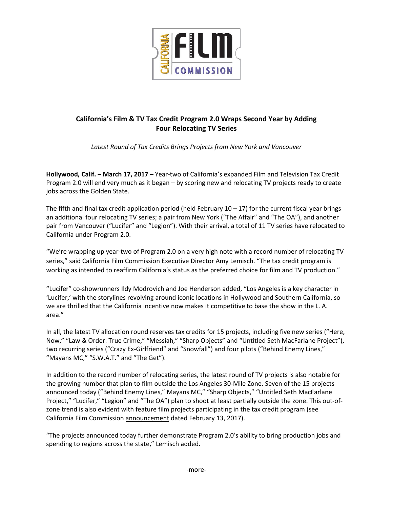

# **California's Film & TV Tax Credit Program 2.0 Wraps Second Year by Adding Four Relocating TV Series**

*Latest Round of Tax Credits Brings Projects from New York and Vancouver*

**Hollywood, Calif. – March 17, 2017 –** Year-two of California's expanded Film and Television Tax Credit Program 2.0 will end very much as it began – by scoring new and relocating TV projects ready to create jobs across the Golden State.

The fifth and final tax credit application period (held February  $10 - 17$ ) for the current fiscal year brings an additional four relocating TV series; a pair from New York ("The Affair" and "The OA"), and another pair from Vancouver ("Lucifer" and "Legion"). With their arrival, a total of 11 TV series have relocated to California under Program 2.0.

"We're wrapping up year-two of Program 2.0 on a very high note with a record number of relocating TV series," said California Film Commission Executive Director Amy Lemisch. "The tax credit program is working as intended to reaffirm California's status as the preferred choice for film and TV production."

"Lucifer" co-showrunners Ildy Modrovich and Joe Henderson added, "Los Angeles is a key character in 'Lucifer,' with the storylines revolving around iconic locations in Hollywood and Southern California, so we are thrilled that the California incentive now makes it competitive to base the show in the L. A. area."

In all, the latest TV allocation round reserves tax credits for 15 projects, including five new series ("Here, Now," "Law & Order: True Crime," "Messiah," "Sharp Objects" and "Untitled Seth MacFarlane Project"), two recurring series ("Crazy Ex-Girlfriend" and "Snowfall") and four pilots ("Behind Enemy Lines," "Mayans MC," "S.W.A.T." and "The Get").

In addition to the record number of relocating series, the latest round of TV projects is also notable for the growing number that plan to film outside the Los Angeles 30-Mile Zone. Seven of the 15 projects announced today ("Behind Enemy Lines," Mayans MC," "Sharp Objects," "Untitled Seth MacFarlane Project," "Lucifer," "Legion" and "The OA") plan to shoot at least partially outside the zone. This out-ofzone trend is also evident with feature film projects participating in the tax credit program (see California Film Commission [announcement](http://film.ca.gov/wp-content/uploads/2017/02/Tax-Credit-Program-Year-2-2nd-Film-Allocation-Release-FINAL-02-13-17.pdf) dated February 13, 2017).

"The projects announced today further demonstrate Program 2.0's ability to bring production jobs and spending to regions across the state," Lemisch added.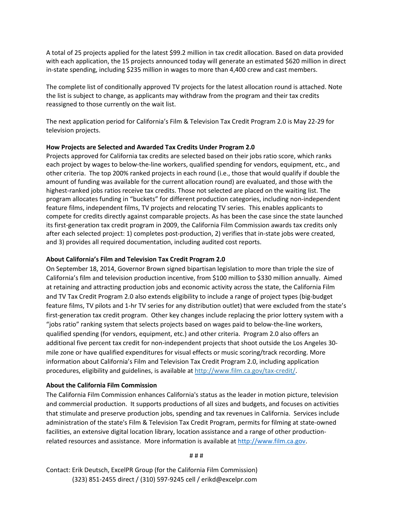A total of 25 projects applied for the latest \$99.2 million in tax credit allocation. Based on data provided with each application, the 15 projects announced today will generate an estimated \$620 million in direct in-state spending, including \$235 million in wages to more than 4,400 crew and cast members.

The complete list of conditionally approved TV projects for the latest allocation round is attached. Note the list is subject to change, as applicants may withdraw from the program and their tax credits reassigned to those currently on the wait list.

The next application period for California's Film & Television Tax Credit Program 2.0 is May 22-29 for television projects.

### **How Projects are Selected and Awarded Tax Credits Under Program 2.0**

Projects approved for California tax credits are selected based on their jobs ratio score, which ranks each project by wages to below-the-line workers, qualified spending for vendors, equipment, etc., and other criteria. The top 200% ranked projects in each round (i.e., those that would qualify if double the amount of funding was available for the current allocation round) are evaluated, and those with the highest-ranked jobs ratios receive tax credits. Those not selected are placed on the waiting list. The program allocates funding in "buckets" for different production categories, including non-independent feature films, independent films, TV projects and relocating TV series. This enables applicants to compete for credits directly against comparable projects. As has been the case since the state launched its first-generation tax credit program in 2009, the California Film Commission awards tax credits only after each selected project: 1) completes post-production, 2) verifies that in-state jobs were created, and 3) provides all required documentation, including audited cost reports.

#### **About California's Film and Television Tax Credit Program 2.0**

On September 18, 2014, Governor Brown signed bipartisan legislation to more than triple the size of California's film and television production incentive, from \$100 million to \$330 million annually. Aimed at retaining and attracting production jobs and economic activity across the state, the California Film and TV Tax Credit Program 2.0 also extends eligibility to include a range of project types (big-budget feature films, TV pilots and 1-hr TV series for any distribution outlet) that were excluded from the state's first-generation tax credit program. Other key changes include replacing the prior lottery system with a "jobs ratio" ranking system that selects projects based on wages paid to below-the-line workers, qualified spending (for vendors, equipment, etc.) and other criteria. Program 2.0 also offers an additional five percent tax credit for non-independent projects that shoot outside the Los Angeles 30 mile zone or have qualified expenditures for visual effects or music scoring/track recording. More information about California's Film and Television Tax Credit Program 2.0, including application procedures, eligibility and guidelines, is available at [http://www.film.ca.gov/tax-credit/.](http://www.film.ca.gov/tax-credit/)

#### **About the California Film Commission**

The California Film Commission enhances California's status as the leader in motion picture, television and commercial production. It supports productions of all sizes and budgets, and focuses on activities that stimulate and preserve production jobs, spending and tax revenues in California. Services include administration of the state's Film & Television Tax Credit Program, permits for filming at state-owned facilities, an extensive digital location library, location assistance and a range of other productionrelated resources and assistance. More information is available at [http://www.film.ca.gov.](http://www.film.ca.gov/)

# # #

Contact: Erik Deutsch, ExcelPR Group (for the California Film Commission) (323) 851-2455 direct / (310) 597-9245 cell / erikd@excelpr.com